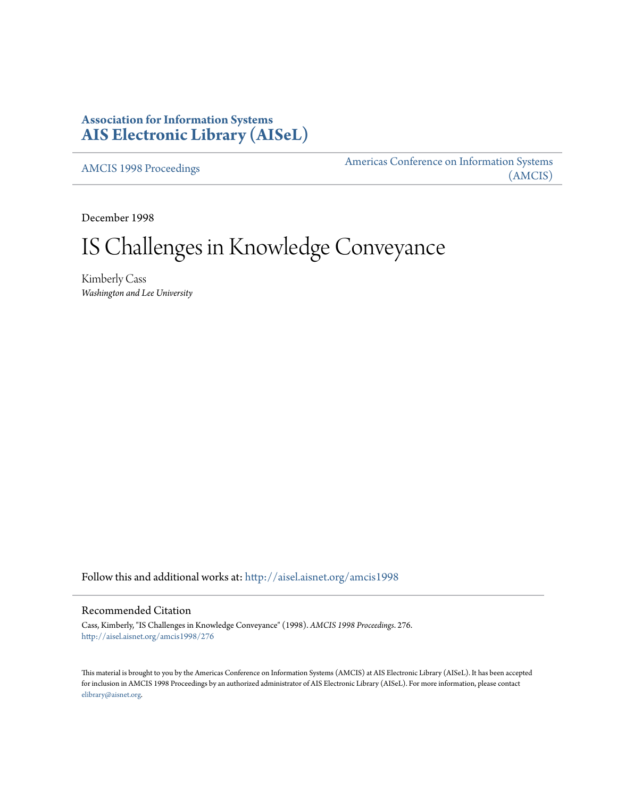# **Association for Information Systems [AIS Electronic Library \(AISeL\)](http://aisel.aisnet.org?utm_source=aisel.aisnet.org%2Famcis1998%2F276&utm_medium=PDF&utm_campaign=PDFCoverPages)**

[AMCIS 1998 Proceedings](http://aisel.aisnet.org/amcis1998?utm_source=aisel.aisnet.org%2Famcis1998%2F276&utm_medium=PDF&utm_campaign=PDFCoverPages)

[Americas Conference on Information Systems](http://aisel.aisnet.org/amcis?utm_source=aisel.aisnet.org%2Famcis1998%2F276&utm_medium=PDF&utm_campaign=PDFCoverPages) [\(AMCIS\)](http://aisel.aisnet.org/amcis?utm_source=aisel.aisnet.org%2Famcis1998%2F276&utm_medium=PDF&utm_campaign=PDFCoverPages)

December 1998

# IS Challenges in Knowledge Conveyance

Kimberly Cass *Washington and Lee University*

Follow this and additional works at: [http://aisel.aisnet.org/amcis1998](http://aisel.aisnet.org/amcis1998?utm_source=aisel.aisnet.org%2Famcis1998%2F276&utm_medium=PDF&utm_campaign=PDFCoverPages)

# Recommended Citation

Cass, Kimberly, "IS Challenges in Knowledge Conveyance" (1998). *AMCIS 1998 Proceedings*. 276. [http://aisel.aisnet.org/amcis1998/276](http://aisel.aisnet.org/amcis1998/276?utm_source=aisel.aisnet.org%2Famcis1998%2F276&utm_medium=PDF&utm_campaign=PDFCoverPages)

This material is brought to you by the Americas Conference on Information Systems (AMCIS) at AIS Electronic Library (AISeL). It has been accepted for inclusion in AMCIS 1998 Proceedings by an authorized administrator of AIS Electronic Library (AISeL). For more information, please contact [elibrary@aisnet.org.](mailto:elibrary@aisnet.org%3E)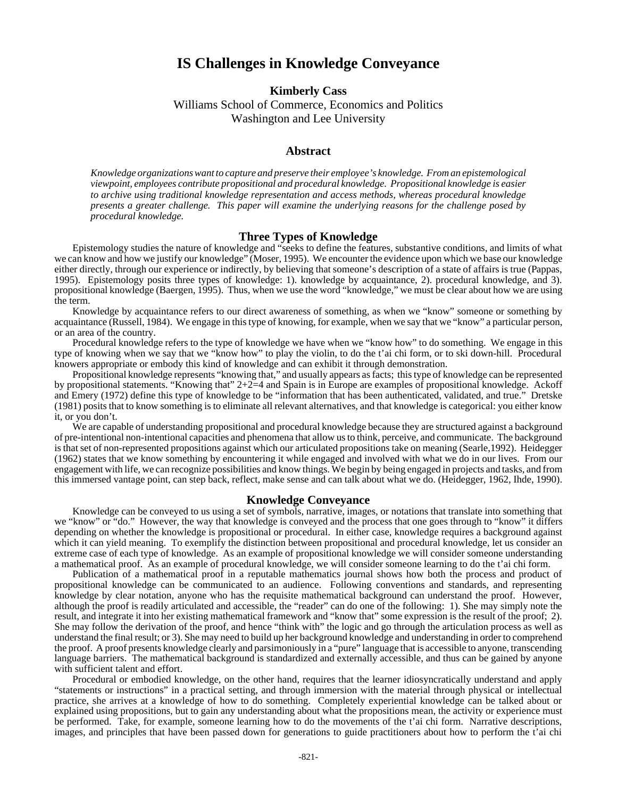# **IS Challenges in Knowledge Conveyance**

**Kimberly Cass**

Williams School of Commerce, Economics and Politics Washington and Lee University

## **Abstract**

*Knowledge organizations want to capture and preserve their employee's knowledge. From an epistemological viewpoint, employees contribute propositional and procedural knowledge. Propositional knowledge is easier to archive using traditional knowledge representation and access methods, whereas procedural knowledge presents a greater challenge. This paper will examine the underlying reasons for the challenge posed by procedural knowledge.*

## **Three Types of Knowledge**

Epistemology studies the nature of knowledge and "seeks to define the features, substantive conditions, and limits of what we can know and how we justify our knowledge" (Moser, 1995). We encounter the evidence upon which we base our knowledge either directly, through our experience or indirectly, by believing that someone's description of a state of affairs is true (Pappas, 1995). Epistemology posits three types of knowledge: 1). knowledge by acquaintance, 2). procedural knowledge, and 3). propositional knowledge (Baergen, 1995). Thus, when we use the word "knowledge," we must be clear about how we are using the term.

Knowledge by acquaintance refers to our direct awareness of something, as when we "know" someone or something by acquaintance (Russell, 1984). We engage in this type of knowing, for example, when we say that we "know" a particular person, or an area of the country.

Procedural knowledge refers to the type of knowledge we have when we "know how" to do something. We engage in this type of knowing when we say that we "know how" to play the violin, to do the t'ai chi form, or to ski down-hill. Procedural knowers appropriate or embody this kind of knowledge and can exhibit it through demonstration.

Propositional knowledge represents "knowing that," and usually appears as facts; this type of knowledge can be represented by propositional statements. "Knowing that" 2+2=4 and Spain is in Europe are examples of propositional knowledge. Ackoff and Emery (1972) define this type of knowledge to be "information that has been authenticated, validated, and true." Dretske (1981) posits that to know something is to eliminate all relevant alternatives, and that knowledge is categorical: you either know it, or you don't.

We are capable of understanding propositional and procedural knowledge because they are structured against a background of pre-intentional non-intentional capacities and phenomena that allow us to think, perceive, and communicate. The background is that set of non-represented propositions against which our articulated propositions take on meaning (Searle,1992). Heidegger (1962) states that we know something by encountering it while engaged and involved with what we do in our lives. From our engagement with life, we can recognize possibilities and know things. We begin by being engaged in projects and tasks, and from this immersed vantage point, can step back, reflect, make sense and can talk about what we do. (Heidegger, 1962, Ihde, 1990).

#### **Knowledge Conveyance**

Knowledge can be conveyed to us using a set of symbols, narrative, images, or notations that translate into something that we "know" or "do." However, the way that knowledge is conveyed and the process that one goes through to "know" it differs depending on whether the knowledge is propositional or procedural. In either case, knowledge requires a background against which it can yield meaning. To exemplify the distinction between propositional and procedural knowledge, let us consider an extreme case of each type of knowledge. As an example of propositional knowledge we will consider someone understanding a mathematical proof. As an example of procedural knowledge, we will consider someone learning to do the t'ai chi form.

Publication of a mathematical proof in a reputable mathematics journal shows how both the process and product of propositional knowledge can be communicated to an audience. Following conventions and standards, and representing knowledge by clear notation, anyone who has the requisite mathematical background can understand the proof. However, although the proof is readily articulated and accessible, the "reader" can do one of the following: 1). She may simply note the result, and integrate it into her existing mathematical framework and "know that" some expression is the result of the proof; 2). She may follow the derivation of the proof, and hence "think with" the logic and go through the articulation process as well as understand the final result; or 3). She may need to build up her background knowledge and understanding in order to comprehend the proof. A proof presents knowledge clearly and parsimoniously in a "pure" language that is accessible to anyone, transcending language barriers. The mathematical background is standardized and externally accessible, and thus can be gained by anyone with sufficient talent and effort.

Procedural or embodied knowledge, on the other hand, requires that the learner idiosyncratically understand and apply "statements or instructions" in a practical setting, and through immersion with the material through physical or intellectual practice, she arrives at a knowledge of how to do something. Completely experiential knowledge can be talked about or explained using propositions, but to gain any understanding about what the propositions mean, the activity or experience must be performed. Take, for example, someone learning how to do the movements of the t'ai chi form. Narrative descriptions, images, and principles that have been passed down for generations to guide practitioners about how to perform the  $\tilde{t}$  ai chi